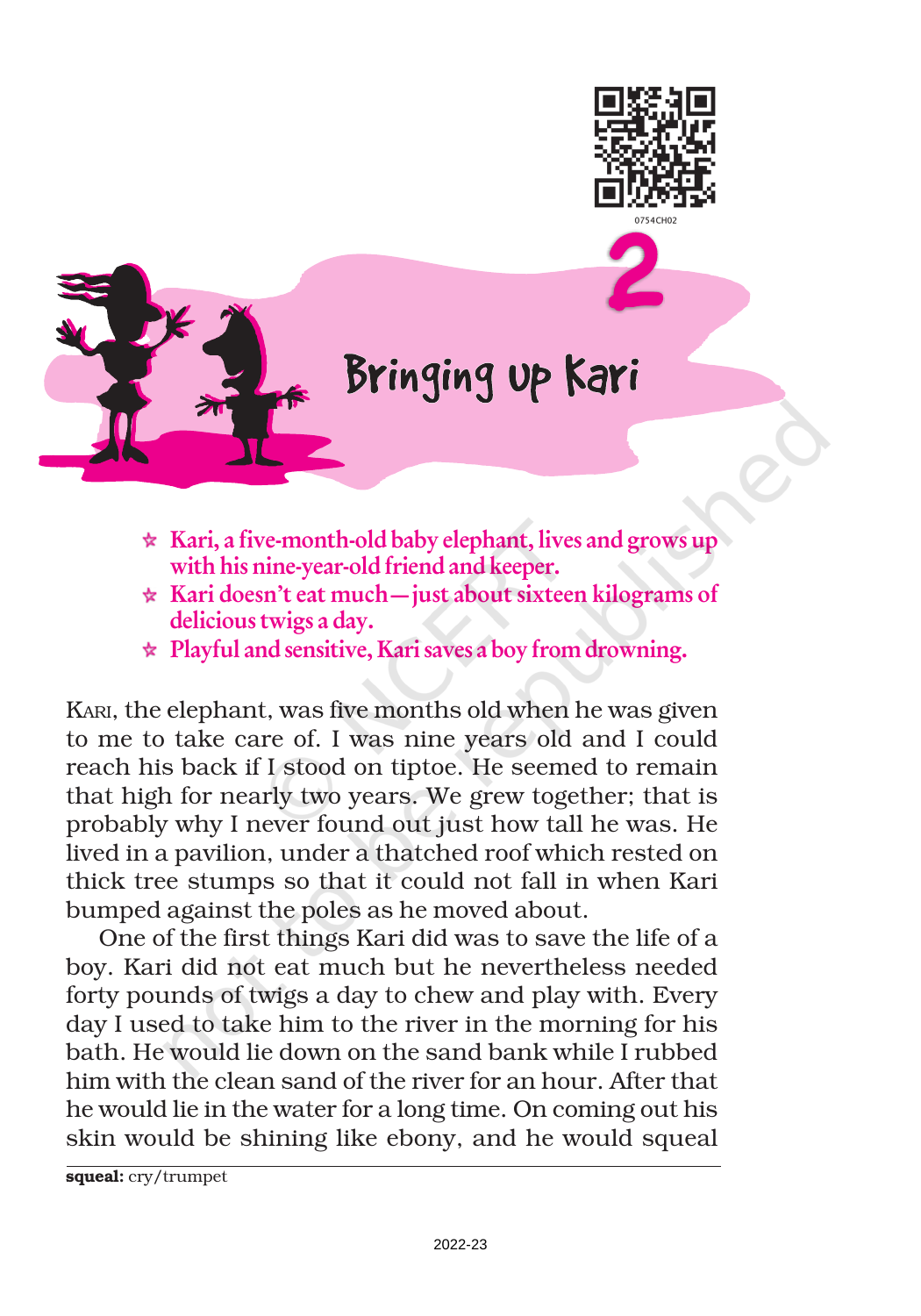



## Bringing up Kari

- $\star$  Kari, a five-month-old baby elephant, lives and grows up with his nine-year-old friend and keeper.
- $\star$  Kari doesn't eat much—just about sixteen kilograms of delicious twigs a day.
- $\star$  Playful and sensitive, Kari saves a boy from drowning.

KARI, the elephant, was five months old when he was given to me to take care of. I was nine years old and I could reach his back if I stood on tiptoe. He seemed to remain that high for nearly two years. We grew together; that is probably why I never found out just how tall he was. He lived in a pavilion, under a thatched roof which rested on thick tree stumps so that it could not fall in when Kari bumped against the poles as he moved about.

One of the first things Kari did was to save the life of a boy. Kari did not eat much but he nevertheless needed forty pounds of twigs a day to chew and play with. Every day I used to take him to the river in the morning for his bath. He would lie down on the sand bank while I rubbed him with the clean sand of the river for an hour. After that he would lie in the water for a long time. On coming out his skin would be shining like ebony, and he would squeal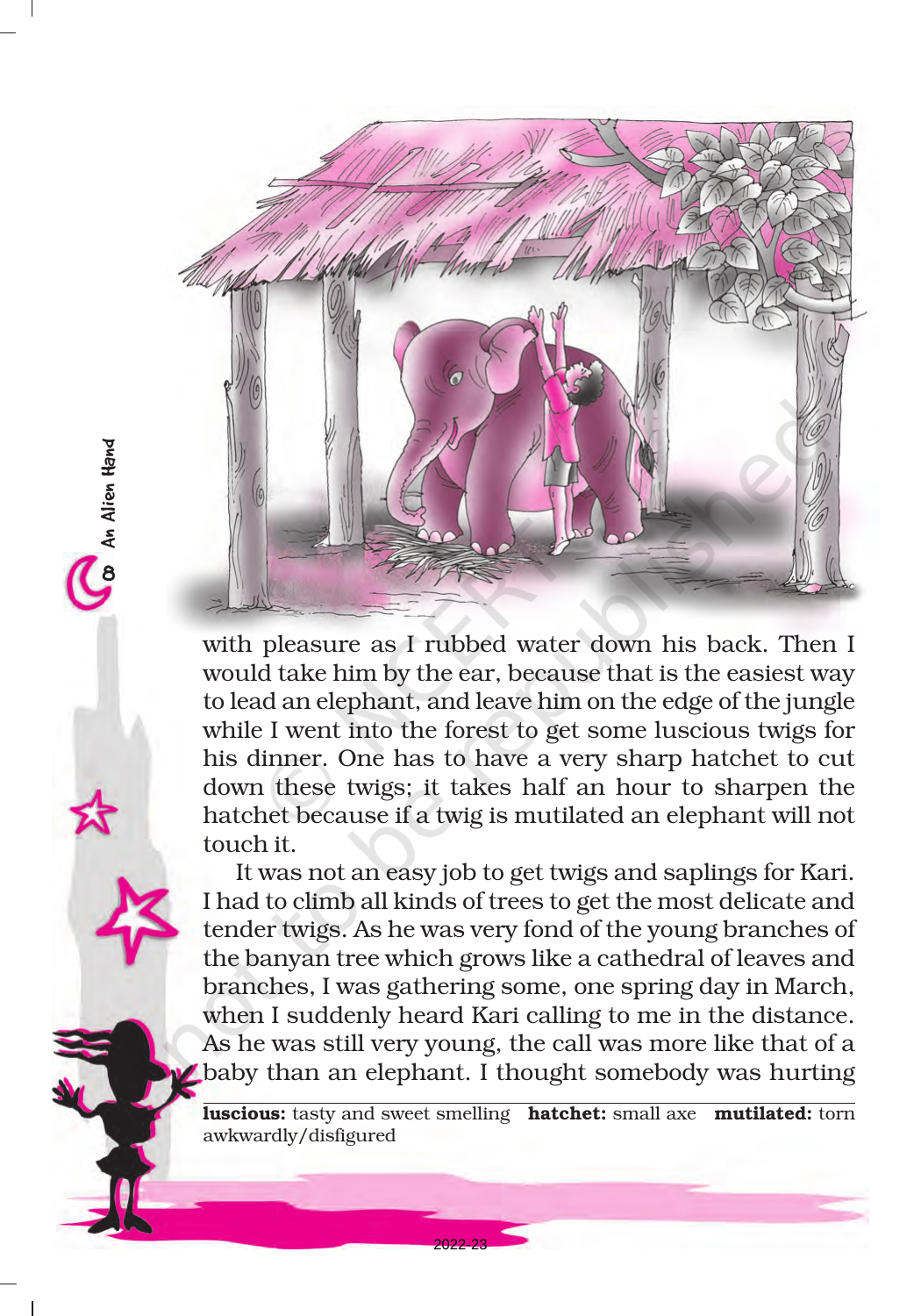

8An Alien Hand

Ca An Alien Hand

with pleasure as I rubbed water down his back. Then I would take him by the ear, because that is the easiest way to lead an elephant, and leave him on the edge of the jungle while I went into the forest to get some luscious twigs for his dinner. One has to have a very sharp hatchet to cut down these twigs; it takes half an hour to sharpen the hatchet because if a twig is mutilated an elephant will not touch it.

It was not an easy job to get twigs and saplings for Kari. I had to climb all kinds of trees to get the most delicate and tender twigs. As he was very fond of the young branches of the banyan tree which grows like a cathedral of leaves and branches, I was gathering some, one spring day in March, when I suddenly heard Kari calling to me in the distance. As he was still very young, the call was more like that of a baby than an elephant. I thought somebody was hurting

luscious: tasty and sweet smelling hatchet: small axe mutilated: torn awkwardly/disfigured

2022-23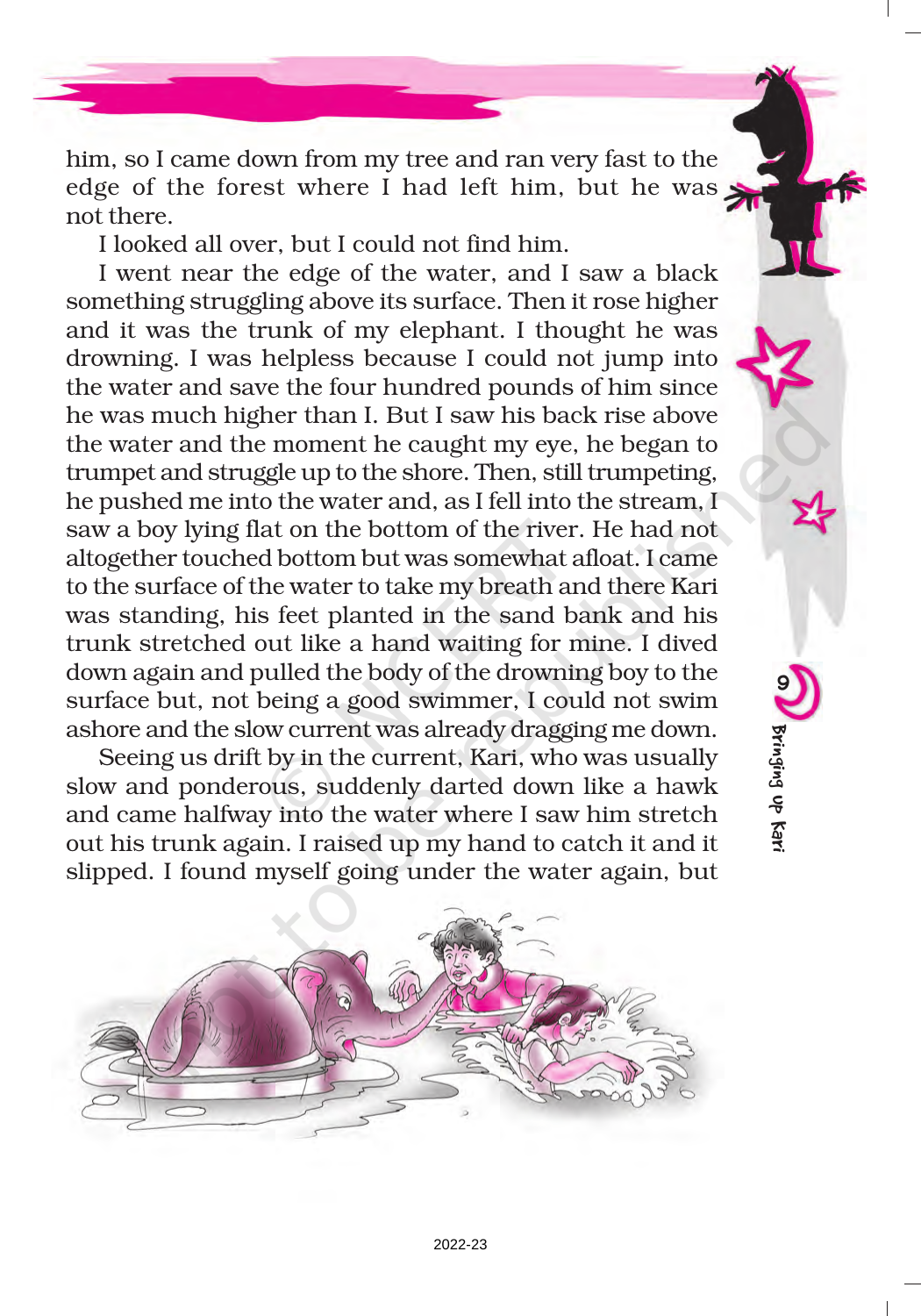him, so I came down from my tree and ran very fast to the edge of the forest where I had left him, but he was not there.

I looked all over, but I could not find him.

I went near the edge of the water, and I saw a black something struggling above its surface. Then it rose higher and it was the trunk of my elephant. I thought he was drowning. I was helpless because I could not jump into the water and save the four hundred pounds of him since he was much higher than I. But I saw his back rise above the water and the moment he caught my eye, he began to trumpet and struggle up to the shore. Then, still trumpeting, he pushed me into the water and, as I fell into the stream, I saw a boy lying flat on the bottom of the river. He had not altogether touched bottom but was somewhat afloat. I came to the surface of the water to take my breath and there Kari was standing, his feet planted in the sand bank and his trunk stretched out like a hand waiting for mine. I dived down again and pulled the body of the drowning boy to the surface but, not being a good swimmer, I could not swim ashore and the slow current was already dragging me down.

Seeing us drift by in the current, Kari, who was usually slow and ponderous, suddenly darted down like a hawk and came halfway into the water where I saw him stretch out his trunk again. I raised up my hand to catch it and it slipped. I found myself going under the water again, but



9

Bringing up Kari

Bringing Up Kar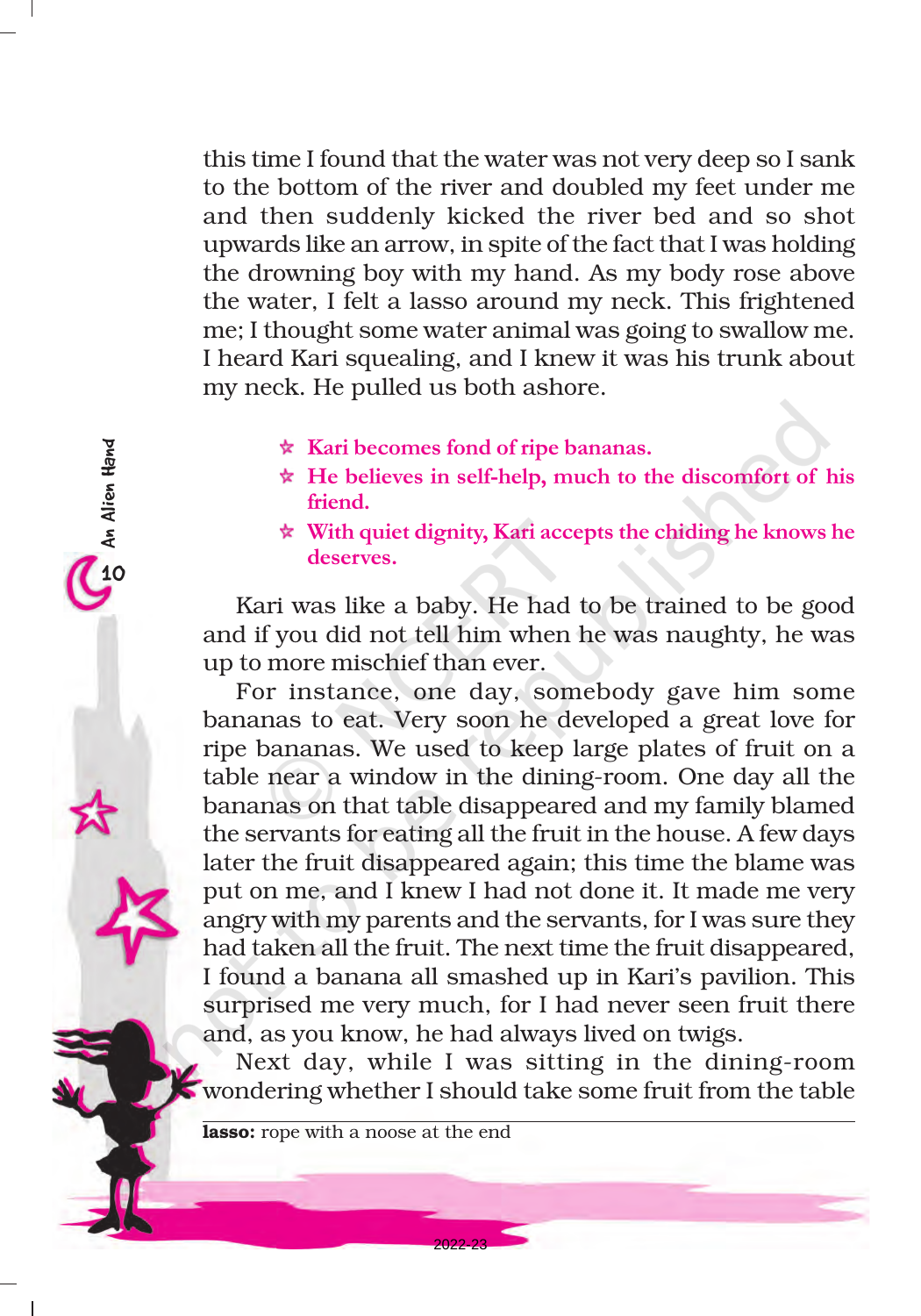this time I found that the water was not very deep so I sank to the bottom of the river and doubled my feet under me and then suddenly kicked the river bed and so shot upwards like an arrow, in spite of the fact that I was holding the drowning boy with my hand. As my body rose above the water, I felt a lasso around my neck. This frightened me; I thought some water animal was going to swallow me. I heard Kari squealing, and I knew it was his trunk about my neck. He pulled us both ashore.

- $\star$  Kari becomes fond of ripe bananas.
- $\star$  He believes in self-help, much to the discomfort of his friend.
- $\star$  With quiet dignity, Kari accepts the chiding he knows he deserves.

Kari was like a baby. He had to be trained to be good and if you did not tell him when he was naughty, he was up to more mischief than ever.

For instance, one day, somebody gave him some bananas to eat. Very soon he developed a great love for ripe bananas. We used to keep large plates of fruit on a table near a window in the dining-room. One day all the bananas on that table disappeared and my family blamed the servants for eating all the fruit in the house. A few days later the fruit disappeared again; this time the blame was put on me, and I knew I had not done it. It made me very angry with my parents and the servants, for I was sure they had taken all the fruit. The next time the fruit disappeared, I found a banana all smashed up in Kari's pavilion. This surprised me very much, for I had never seen fruit there and, as you know, he had always lived on twigs.

Next day, while I was sitting in the dining-room wondering whether I should take some fruit from the table

2022-23

lasso: rope with a noose at the end

10<br>10<br>An Alien Hand

An Alien Hand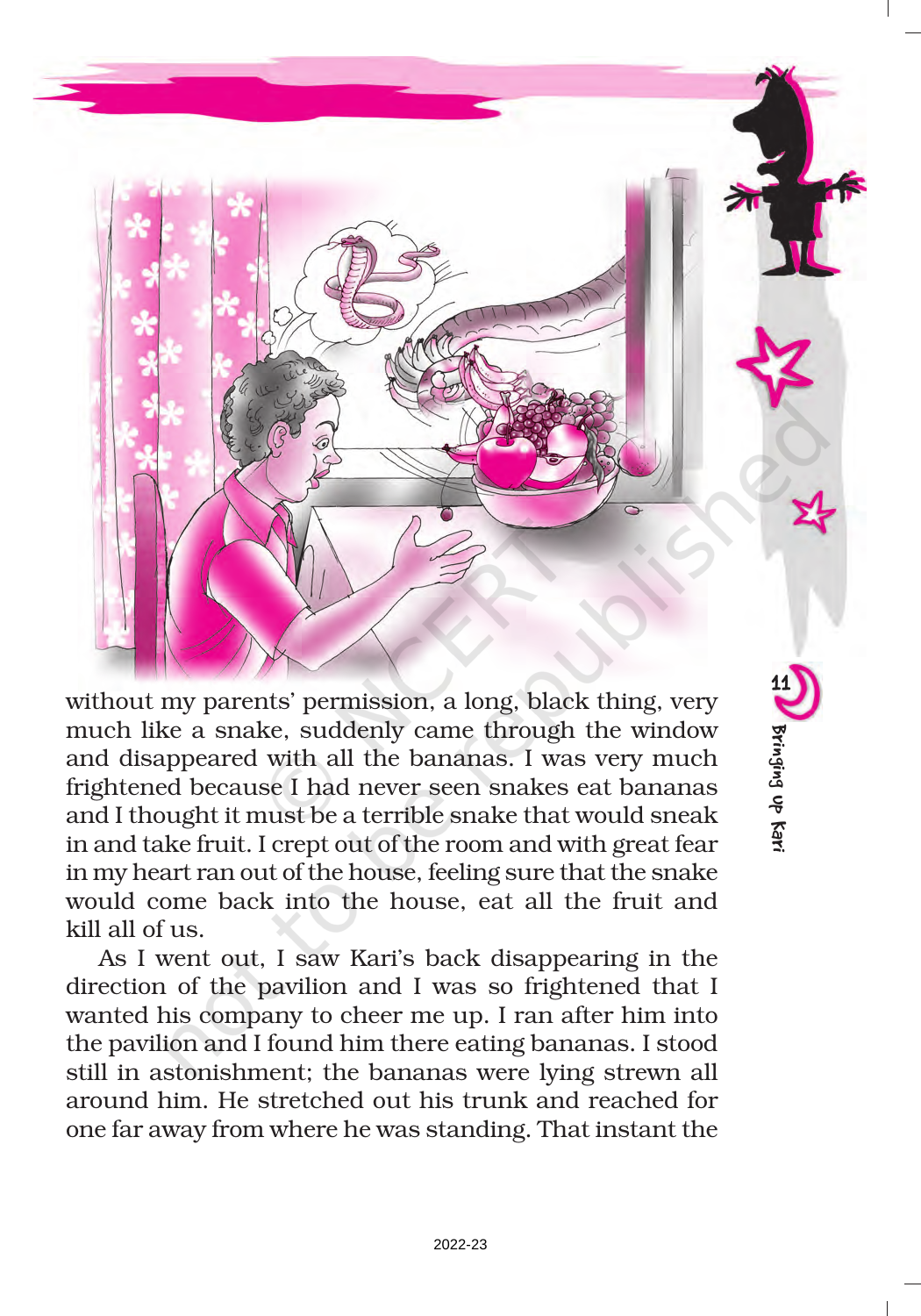

without my parents' permission, a long, black thing, very much like a snake, suddenly came through the window and disappeared with all the bananas. I was very much frightened because I had never seen snakes eat bananas and I thought it must be a terrible snake that would sneak in and take fruit. I crept out of the room and with great fear in my heart ran out of the house, feeling sure that the snake would come back into the house, eat all the fruit and kill all of us.

Bringing up Kari

Bringing Up Kar

As I went out, I saw Kari's back disappearing in the direction of the pavilion and I was so frightened that I wanted his company to cheer me up. I ran after him into the pavilion and I found him there eating bananas. I stood still in astonishment; the bananas were lying strewn all around him. He stretched out his trunk and reached for one far away from where he was standing. That instant the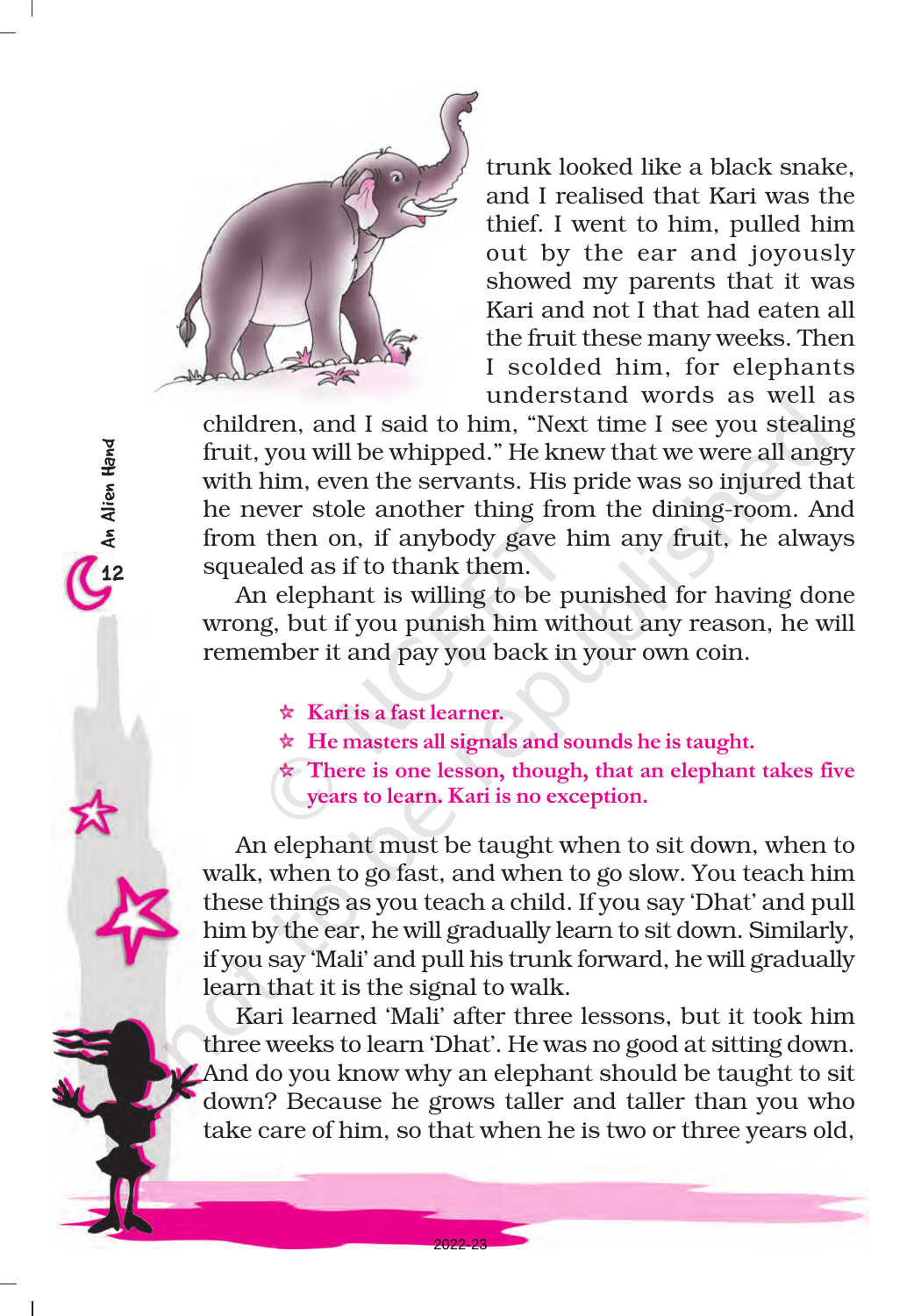

trunk looked like a black snake, and I realised that Kari was the thief. I went to him, pulled him out by the ear and joyously showed my parents that it was Kari and not I that had eaten all the fruit these many weeks. Then I scolded him, for elephants understand words as well as

children, and I said to him, "Next time I see you stealing fruit, you will be whipped." He knew that we were all angry with him, even the servants. His pride was so injured that he never stole another thing from the dining-room. And from then on, if anybody gave him any fruit, he always squealed as if to thank them.

An elephant is willing to be punished for having done wrong, but if you punish him without any reason, he will remember it and pay you back in your own coin.

 $\star$  Kari is a fast learner.

- $\star$  He masters all signals and sounds he is taught.
- $\star$  There is one lesson, though, that an elephant takes five years to learn. Kari is no exception.

An elephant must be taught when to sit down, when to walk, when to go fast, and when to go slow. You teach him these things as you teach a child. If you say 'Dhat' and pull him by the ear, he will gradually learn to sit down. Similarly, if you say 'Mali' and pull his trunk forward, he will gradually learn that it is the signal to walk.

Kari learned 'Mali' after three lessons, but it took him three weeks to learn 'Dhat'. He was no good at sitting down. And do you know why an elephant should be taught to sit down? Because he grows taller and taller than you who take care of him, so that when he is two or three years old,

2022-23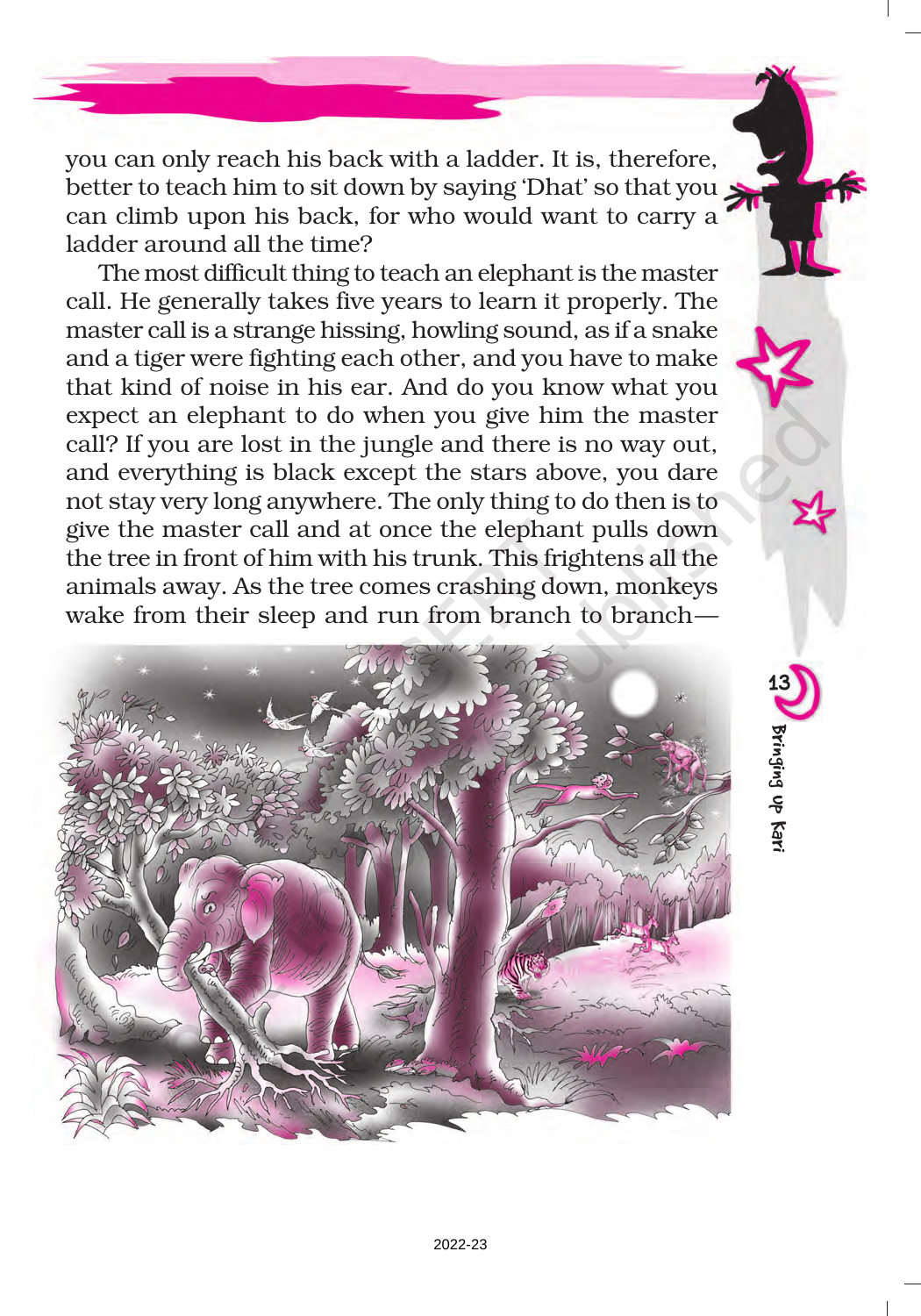you can only reach his back with a ladder. It is, therefore, better to teach him to sit down by saying 'Dhat' so that you can climb upon his back, for who would want to carry a ladder around all the time?

The most difficult thing to teach an elephant is the master call. He generally takes five years to learn it properly. The master call is a strange hissing, howling sound, as if a snake and a tiger were fighting each other, and you have to make that kind of noise in his ear. And do you know what you expect an elephant to do when you give him the master call? If you are lost in the jungle and there is no way out, and everything is black except the stars above, you dare not stay very long anywhere. The only thing to do then is to give the master call and at once the elephant pulls down the tree in front of him with his trunk. This frightens all the animals away. As the tree comes crashing down, monkeys wake from their sleep and run from branch to branch—



13

Bringing up Kari

Bringing up Kar